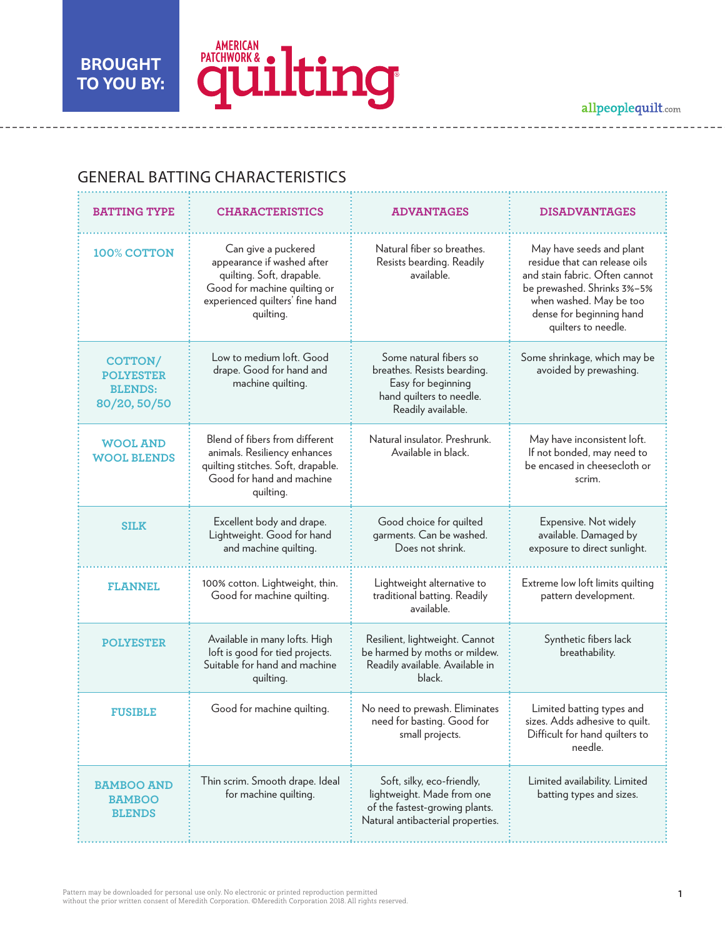-----------------

L. ÷.



 $- - =$   $-$   $- - -$ 

------------------

## GENERAL BATTING CHARACTERISTICS

| <b>BATTING TYPE</b>                                                  | <b>CHARACTERISTICS</b>                                                                                                                                         | <b>ADVANTAGES</b>                                                                                                               | <b>DISADVANTAGES</b>                                                                                                                                                                                     |
|----------------------------------------------------------------------|----------------------------------------------------------------------------------------------------------------------------------------------------------------|---------------------------------------------------------------------------------------------------------------------------------|----------------------------------------------------------------------------------------------------------------------------------------------------------------------------------------------------------|
| 100% COTTON                                                          | Can give a puckered<br>appearance if washed after<br>quilting. Soft, drapable.<br>Good for machine quilting or<br>experienced quilters' fine hand<br>quilting. | Natural fiber so breathes.<br>Resists bearding. Readily<br>available.                                                           | May have seeds and plant<br>residue that can release oils<br>and stain fabric. Often cannot<br>be prewashed. Shrinks 3%-5%<br>when washed. May be too<br>dense for beginning hand<br>quilters to needle. |
| <b>COTTON/</b><br><b>POLYESTER</b><br><b>BLENDS:</b><br>80/20, 50/50 | Low to medium loft. Good<br>drape. Good for hand and<br>machine quilting.                                                                                      | Some natural fibers so<br>breathes. Resists bearding.<br>Easy for beginning<br>hand quilters to needle.<br>Readily available.   | Some shrinkage, which may be<br>avoided by prewashing.                                                                                                                                                   |
| <b>WOOL AND</b><br><b>WOOL BLENDS</b>                                | Blend of fibers from different<br>animals. Resiliency enhances<br>quilting stitches. Soft, drapable.<br>Good for hand and machine<br>quilting.                 | Natural insulator. Preshrunk.<br>Available in black.                                                                            | May have inconsistent loft.<br>If not bonded, may need to<br>be encased in cheesecloth or<br>scrim.                                                                                                      |
| <b>SILK</b>                                                          | Excellent body and drape.<br>Lightweight. Good for hand<br>and machine quilting.                                                                               | Good choice for quilted<br>garments. Can be washed.<br>Does not shrink.                                                         | Expensive. Not widely<br>available. Damaged by<br>exposure to direct sunlight.                                                                                                                           |
| <b>FLANNEL</b>                                                       | 100% cotton. Lightweight, thin.<br>Good for machine quilting.                                                                                                  | Lightweight alternative to<br>traditional batting. Readily<br>available.                                                        | Extreme low loft limits quilting<br>pattern development.                                                                                                                                                 |
| <b>POLYESTER</b>                                                     | Available in many lofts. High<br>loft is good for tied projects.<br>Suitable for hand and machine<br>quilting.                                                 | Resilient, lightweight. Cannot<br>be harmed by moths or mildew.<br>Readily available. Available in<br>black.                    | Synthetic fibers lack<br>breathability.                                                                                                                                                                  |
| <b>FUSIBLE</b>                                                       | Good for machine quilting.                                                                                                                                     | No need to prewash. Eliminates<br>need for basting. Good for<br>small projects.                                                 | Limited batting types and<br>sizes. Adds adhesive to quilt.<br>Difficult for hand quilters to<br>needle.                                                                                                 |
| <b>BAMBOO AND</b><br><b>BAMBOO</b><br><b>BLENDS</b>                  | Thin scrim. Smooth drape. Ideal<br>for machine quilting.                                                                                                       | Soft, silky, eco-friendly,<br>lightweight. Made from one<br>of the fastest-growing plants.<br>Natural antibacterial properties. | Limited availability. Limited<br>batting types and sizes.                                                                                                                                                |